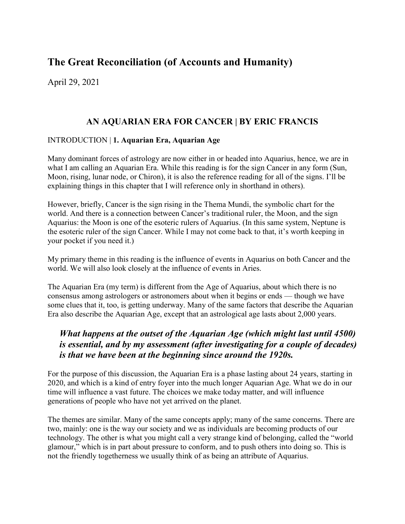# The Great Reconciliation (of Accounts and Humanity)

April 29, 2021

## AN AQUARIAN ERA FOR CANCER | BY ERIC FRANCIS

#### INTRODUCTION | 1. Aquarian Era, Aquarian Age

Many dominant forces of astrology are now either in or headed into Aquarius, hence, we are in what I am calling an Aquarian Era. While this reading is for the sign Cancer in any form (Sun, Moon, rising, lunar node, or Chiron), it is also the reference reading for all of the signs. I'll be explaining things in this chapter that I will reference only in shorthand in others).

However, briefly, Cancer is the sign rising in the Thema Mundi, the symbolic chart for the world. And there is a connection between Cancer's traditional ruler, the Moon, and the sign Aquarius: the Moon is one of the esoteric rulers of Aquarius. (In this same system, Neptune is the esoteric ruler of the sign Cancer. While I may not come back to that, it's worth keeping in your pocket if you need it.)

My primary theme in this reading is the influence of events in Aquarius on both Cancer and the world. We will also look closely at the influence of events in Aries.

The Aquarian Era (my term) is different from the Age of Aquarius, about which there is no consensus among astrologers or astronomers about when it begins or ends — though we have some clues that it, too, is getting underway. Many of the same factors that describe the Aquarian Era also describe the Aquarian Age, except that an astrological age lasts about 2,000 years.

## What happens at the outset of the Aquarian Age (which might last until 4500) is essential, and by my assessment (after investigating for a couple of decades) is that we have been at the beginning since around the 1920s.

For the purpose of this discussion, the Aquarian Era is a phase lasting about 24 years, starting in 2020, and which is a kind of entry foyer into the much longer Aquarian Age. What we do in our time will influence a vast future. The choices we make today matter, and will influence generations of people who have not yet arrived on the planet.

The themes are similar. Many of the same concepts apply; many of the same concerns. There are two, mainly: one is the way our society and we as individuals are becoming products of our technology. The other is what you might call a very strange kind of belonging, called the "world glamour," which is in part about pressure to conform, and to push others into doing so. This is not the friendly togetherness we usually think of as being an attribute of Aquarius.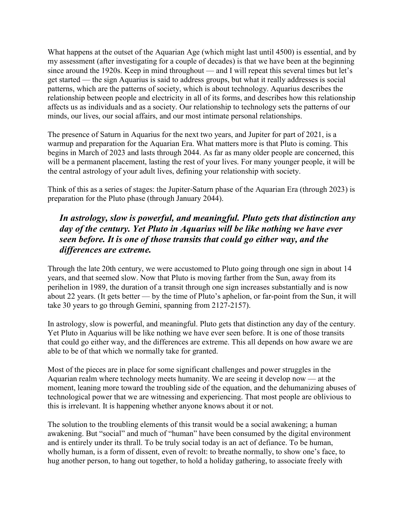What happens at the outset of the Aquarian Age (which might last until 4500) is essential, and by my assessment (after investigating for a couple of decades) is that we have been at the beginning since around the 1920s. Keep in mind throughout — and I will repeat this several times but let's get started — the sign Aquarius is said to address groups, but what it really addresses is social patterns, which are the patterns of society, which is about technology. Aquarius describes the relationship between people and electricity in all of its forms, and describes how this relationship affects us as individuals and as a society. Our relationship to technology sets the patterns of our minds, our lives, our social affairs, and our most intimate personal relationships.

The presence of Saturn in Aquarius for the next two years, and Jupiter for part of 2021, is a warmup and preparation for the Aquarian Era. What matters more is that Pluto is coming. This begins in March of 2023 and lasts through 2044. As far as many older people are concerned, this will be a permanent placement, lasting the rest of your lives. For many younger people, it will be the central astrology of your adult lives, defining your relationship with society.

Think of this as a series of stages: the Jupiter-Saturn phase of the Aquarian Era (through 2023) is preparation for the Pluto phase (through January 2044).

### In astrology, slow is powerful, and meaningful. Pluto gets that distinction any day of the century. Yet Pluto in Aquarius will be like nothing we have ever seen before. It is one of those transits that could go either way, and the differences are extreme.

Through the late 20th century, we were accustomed to Pluto going through one sign in about 14 years, and that seemed slow. Now that Pluto is moving farther from the Sun, away from its perihelion in 1989, the duration of a transit through one sign increases substantially and is now about 22 years. (It gets better — by the time of Pluto's aphelion, or far-point from the Sun, it will take 30 years to go through Gemini, spanning from 2127-2157).

In astrology, slow is powerful, and meaningful. Pluto gets that distinction any day of the century. Yet Pluto in Aquarius will be like nothing we have ever seen before. It is one of those transits that could go either way, and the differences are extreme. This all depends on how aware we are able to be of that which we normally take for granted.

Most of the pieces are in place for some significant challenges and power struggles in the Aquarian realm where technology meets humanity. We are seeing it develop now — at the moment, leaning more toward the troubling side of the equation, and the dehumanizing abuses of technological power that we are witnessing and experiencing. That most people are oblivious to this is irrelevant. It is happening whether anyone knows about it or not.

The solution to the troubling elements of this transit would be a social awakening; a human awakening. But "social" and much of "human" have been consumed by the digital environment and is entirely under its thrall. To be truly social today is an act of defiance. To be human, wholly human, is a form of dissent, even of revolt: to breathe normally, to show one's face, to hug another person, to hang out together, to hold a holiday gathering, to associate freely with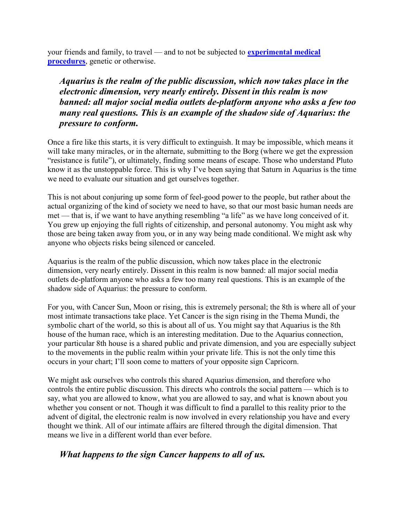your friends and family, to travel — and to not be subjected to **experimental medical** procedures, genetic or otherwise.

Aquarius is the realm of the public discussion, which now takes place in the electronic dimension, very nearly entirely. Dissent in this realm is now banned: all major social media outlets de-platform anyone who asks a few too many real questions. This is an example of the shadow side of Aquarius: the pressure to conform.

Once a fire like this starts, it is very difficult to extinguish. It may be impossible, which means it will take many miracles, or in the alternate, submitting to the Borg (where we get the expression "resistance is futile"), or ultimately, finding some means of escape. Those who understand Pluto know it as the unstoppable force. This is why I've been saying that Saturn in Aquarius is the time we need to evaluate our situation and get ourselves together.

This is not about conjuring up some form of feel-good power to the people, but rather about the actual organizing of the kind of society we need to have, so that our most basic human needs are met — that is, if we want to have anything resembling "a life" as we have long conceived of it. You grew up enjoying the full rights of citizenship, and personal autonomy. You might ask why those are being taken away from you, or in any way being made conditional. We might ask why anyone who objects risks being silenced or canceled.

Aquarius is the realm of the public discussion, which now takes place in the electronic dimension, very nearly entirely. Dissent in this realm is now banned: all major social media outlets de-platform anyone who asks a few too many real questions. This is an example of the shadow side of Aquarius: the pressure to conform.

For you, with Cancer Sun, Moon or rising, this is extremely personal; the 8th is where all of your most intimate transactions take place. Yet Cancer is the sign rising in the Thema Mundi, the symbolic chart of the world, so this is about all of us. You might say that Aquarius is the 8th house of the human race, which is an interesting meditation. Due to the Aquarius connection, your particular 8th house is a shared public and private dimension, and you are especially subject to the movements in the public realm within your private life. This is not the only time this occurs in your chart; I'll soon come to matters of your opposite sign Capricorn.

We might ask ourselves who controls this shared Aquarius dimension, and therefore who controls the entire public discussion. This directs who controls the social pattern — which is to say, what you are allowed to know, what you are allowed to say, and what is known about you whether you consent or not. Though it was difficult to find a parallel to this reality prior to the advent of digital, the electronic realm is now involved in every relationship you have and every thought we think. All of our intimate affairs are filtered through the digital dimension. That means we live in a different world than ever before.

## What happens to the sign Cancer happens to all of us.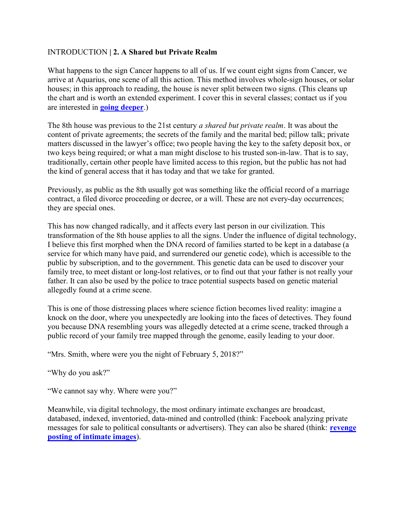#### INTRODUCTION | 2. A Shared but Private Realm

What happens to the sign Cancer happens to all of us. If we count eight signs from Cancer, we arrive at Aquarius, one scene of all this action. This method involves whole-sign houses, or solar houses; in this approach to reading, the house is never split between two signs. (This cleans up the chart and is worth an extended experiment. I cover this in several classes; contact us if you are interested in going deeper.)

The 8th house was previous to the 21st century a shared but private realm. It was about the content of private agreements; the secrets of the family and the marital bed; pillow talk; private matters discussed in the lawyer's office; two people having the key to the safety deposit box, or two keys being required; or what a man might disclose to his trusted son-in-law. That is to say, traditionally, certain other people have limited access to this region, but the public has not had the kind of general access that it has today and that we take for granted.

Previously, as public as the 8th usually got was something like the official record of a marriage contract, a filed divorce proceeding or decree, or a will. These are not every-day occurrences; they are special ones.

This has now changed radically, and it affects every last person in our civilization. This transformation of the 8th house applies to all the signs. Under the influence of digital technology, I believe this first morphed when the DNA record of families started to be kept in a database (a service for which many have paid, and surrendered our genetic code), which is accessible to the public by subscription, and to the government. This genetic data can be used to discover your family tree, to meet distant or long-lost relatives, or to find out that your father is not really your father. It can also be used by the police to trace potential suspects based on genetic material allegedly found at a crime scene.

This is one of those distressing places where science fiction becomes lived reality: imagine a knock on the door, where you unexpectedly are looking into the faces of detectives. They found you because DNA resembling yours was allegedly detected at a crime scene, tracked through a public record of your family tree mapped through the genome, easily leading to your door.

"Mrs. Smith, where were you the night of February 5, 2018?"

"Why do you ask?"

"We cannot say why. Where were you?"

Meanwhile, via digital technology, the most ordinary intimate exchanges are broadcast, databased, indexed, inventoried, data-mined and controlled (think: Facebook analyzing private messages for sale to political consultants or advertisers). They can also be shared (think: revenge posting of intimate images).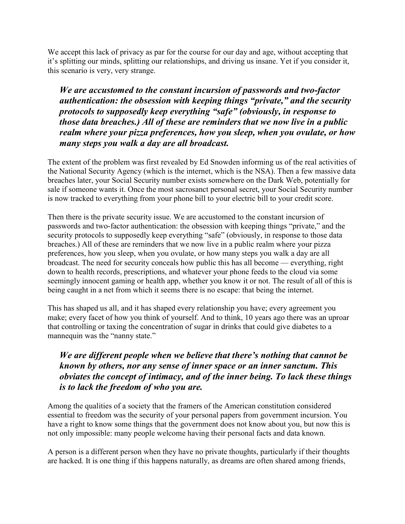We accept this lack of privacy as par for the course for our day and age, without accepting that it's splitting our minds, splitting our relationships, and driving us insane. Yet if you consider it, this scenario is very, very strange.

We are accustomed to the constant incursion of passwords and two-factor authentication: the obsession with keeping things "private," and the security protocols to supposedly keep everything "safe" (obviously, in response to those data breaches.) All of these are reminders that we now live in a public realm where your pizza preferences, how you sleep, when you ovulate, or how many steps you walk a day are all broadcast.

The extent of the problem was first revealed by Ed Snowden informing us of the real activities of the National Security Agency (which is the internet, which is the NSA). Then a few massive data breaches later, your Social Security number exists somewhere on the Dark Web, potentially for sale if someone wants it. Once the most sacrosanct personal secret, your Social Security number is now tracked to everything from your phone bill to your electric bill to your credit score.

Then there is the private security issue. We are accustomed to the constant incursion of passwords and two-factor authentication: the obsession with keeping things "private," and the security protocols to supposedly keep everything "safe" (obviously, in response to those data breaches.) All of these are reminders that we now live in a public realm where your pizza preferences, how you sleep, when you ovulate, or how many steps you walk a day are all broadcast. The need for security conceals how public this has all become — everything, right down to health records, prescriptions, and whatever your phone feeds to the cloud via some seemingly innocent gaming or health app, whether you know it or not. The result of all of this is being caught in a net from which it seems there is no escape: that being the internet.

This has shaped us all, and it has shaped every relationship you have; every agreement you make; every facet of how you think of yourself. And to think, 10 years ago there was an uproar that controlling or taxing the concentration of sugar in drinks that could give diabetes to a mannequin was the "nanny state."

## We are different people when we believe that there's nothing that cannot be known by others, nor any sense of inner space or an inner sanctum. This obviates the concept of intimacy, and of the inner being. To lack these things is to lack the freedom of who you are.

Among the qualities of a society that the framers of the American constitution considered essential to freedom was the security of your personal papers from government incursion. You have a right to know some things that the government does not know about you, but now this is not only impossible: many people welcome having their personal facts and data known.

A person is a different person when they have no private thoughts, particularly if their thoughts are hacked. It is one thing if this happens naturally, as dreams are often shared among friends,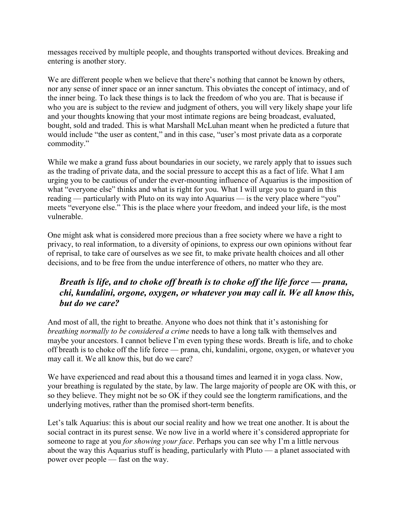messages received by multiple people, and thoughts transported without devices. Breaking and entering is another story.

We are different people when we believe that there's nothing that cannot be known by others, nor any sense of inner space or an inner sanctum. This obviates the concept of intimacy, and of the inner being. To lack these things is to lack the freedom of who you are. That is because if who you are is subject to the review and judgment of others, you will very likely shape your life and your thoughts knowing that your most intimate regions are being broadcast, evaluated, bought, sold and traded. This is what Marshall McLuhan meant when he predicted a future that would include "the user as content," and in this case, "user's most private data as a corporate commodity."

While we make a grand fuss about boundaries in our society, we rarely apply that to issues such as the trading of private data, and the social pressure to accept this as a fact of life. What I am urging you to be cautious of under the ever-mounting influence of Aquarius is the imposition of what "everyone else" thinks and what is right for you. What I will urge you to guard in this reading — particularly with Pluto on its way into Aquarius — is the very place where "you" meets "everyone else." This is the place where your freedom, and indeed your life, is the most vulnerable.

One might ask what is considered more precious than a free society where we have a right to privacy, to real information, to a diversity of opinions, to express our own opinions without fear of reprisal, to take care of ourselves as we see fit, to make private health choices and all other decisions, and to be free from the undue interference of others, no matter who they are.

## Breath is life, and to choke off breath is to choke off the life force — prana, chi, kundalini, orgone, oxygen, or whatever you may call it. We all know this, but do we care?

And most of all, the right to breathe. Anyone who does not think that it's astonishing for breathing normally to be considered a crime needs to have a long talk with themselves and maybe your ancestors. I cannot believe I'm even typing these words. Breath is life, and to choke off breath is to choke off the life force — prana, chi, kundalini, orgone, oxygen, or whatever you may call it. We all know this, but do we care?

We have experienced and read about this a thousand times and learned it in yoga class. Now, your breathing is regulated by the state, by law. The large majority of people are OK with this, or so they believe. They might not be so OK if they could see the longterm ramifications, and the underlying motives, rather than the promised short-term benefits.

Let's talk Aquarius: this is about our social reality and how we treat one another. It is about the social contract in its purest sense. We now live in a world where it's considered appropriate for someone to rage at you *for showing your face*. Perhaps you can see why I'm a little nervous about the way this Aquarius stuff is heading, particularly with Pluto — a planet associated with power over people — fast on the way.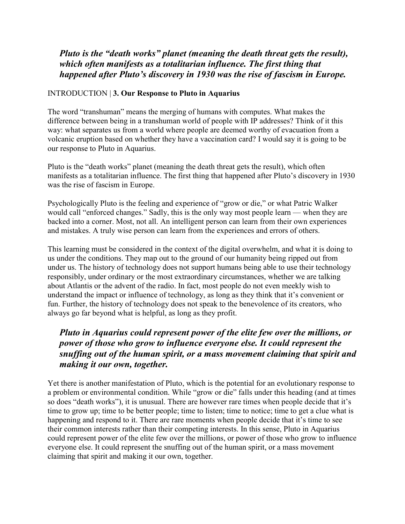## Pluto is the "death works" planet (meaning the death threat gets the result), which often manifests as a totalitarian influence. The first thing that happened after Pluto's discovery in 1930 was the rise of fascism in Europe.

#### INTRODUCTION | 3. Our Response to Pluto in Aquarius

The word "transhuman" means the merging of humans with computes. What makes the difference between being in a transhuman world of people with IP addresses? Think of it this way: what separates us from a world where people are deemed worthy of evacuation from a volcanic eruption based on whether they have a vaccination card? I would say it is going to be our response to Pluto in Aquarius.

Pluto is the "death works" planet (meaning the death threat gets the result), which often manifests as a totalitarian influence. The first thing that happened after Pluto's discovery in 1930 was the rise of fascism in Europe.

Psychologically Pluto is the feeling and experience of "grow or die," or what Patric Walker would call "enforced changes." Sadly, this is the only way most people learn — when they are backed into a corner. Most, not all. An intelligent person can learn from their own experiences and mistakes. A truly wise person can learn from the experiences and errors of others.

This learning must be considered in the context of the digital overwhelm, and what it is doing to us under the conditions. They map out to the ground of our humanity being ripped out from under us. The history of technology does not support humans being able to use their technology responsibly, under ordinary or the most extraordinary circumstances, whether we are talking about Atlantis or the advent of the radio. In fact, most people do not even meekly wish to understand the impact or influence of technology, as long as they think that it's convenient or fun. Further, the history of technology does not speak to the benevolence of its creators, who always go far beyond what is helpful, as long as they profit.

## Pluto in Aquarius could represent power of the elite few over the millions, or power of those who grow to influence everyone else. It could represent the snuffing out of the human spirit, or a mass movement claiming that spirit and making it our own, together.

Yet there is another manifestation of Pluto, which is the potential for an evolutionary response to a problem or environmental condition. While "grow or die" falls under this heading (and at times so does "death works"), it is unusual. There are however rare times when people decide that it's time to grow up; time to be better people; time to listen; time to notice; time to get a clue what is happening and respond to it. There are rare moments when people decide that it's time to see their common interests rather than their competing interests. In this sense, Pluto in Aquarius could represent power of the elite few over the millions, or power of those who grow to influence everyone else. It could represent the snuffing out of the human spirit, or a mass movement claiming that spirit and making it our own, together.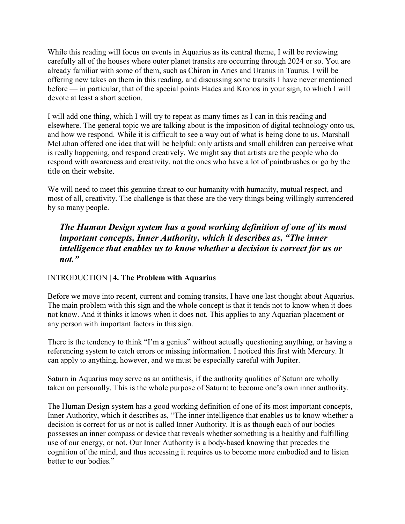While this reading will focus on events in Aquarius as its central theme, I will be reviewing carefully all of the houses where outer planet transits are occurring through 2024 or so. You are already familiar with some of them, such as Chiron in Aries and Uranus in Taurus. I will be offering new takes on them in this reading, and discussing some transits I have never mentioned before — in particular, that of the special points Hades and Kronos in your sign, to which I will devote at least a short section.

I will add one thing, which I will try to repeat as many times as I can in this reading and elsewhere. The general topic we are talking about is the imposition of digital technology onto us, and how we respond. While it is difficult to see a way out of what is being done to us, Marshall McLuhan offered one idea that will be helpful: only artists and small children can perceive what is really happening, and respond creatively. We might say that artists are the people who do respond with awareness and creativity, not the ones who have a lot of paintbrushes or go by the title on their website.

We will need to meet this genuine threat to our humanity with humanity, mutual respect, and most of all, creativity. The challenge is that these are the very things being willingly surrendered by so many people.

### The Human Design system has a good working definition of one of its most important concepts, Inner Authority, which it describes as, "The inner intelligence that enables us to know whether a decision is correct for us or not."

#### INTRODUCTION | 4. The Problem with Aquarius

Before we move into recent, current and coming transits, I have one last thought about Aquarius. The main problem with this sign and the whole concept is that it tends not to know when it does not know. And it thinks it knows when it does not. This applies to any Aquarian placement or any person with important factors in this sign.

There is the tendency to think "I'm a genius" without actually questioning anything, or having a referencing system to catch errors or missing information. I noticed this first with Mercury. It can apply to anything, however, and we must be especially careful with Jupiter.

Saturn in Aquarius may serve as an antithesis, if the authority qualities of Saturn are wholly taken on personally. This is the whole purpose of Saturn: to become one's own inner authority.

The Human Design system has a good working definition of one of its most important concepts, Inner Authority, which it describes as, "The inner intelligence that enables us to know whether a decision is correct for us or not is called Inner Authority. It is as though each of our bodies possesses an inner compass or device that reveals whether something is a healthy and fulfilling use of our energy, or not. Our Inner Authority is a body-based knowing that precedes the cognition of the mind, and thus accessing it requires us to become more embodied and to listen better to our bodies."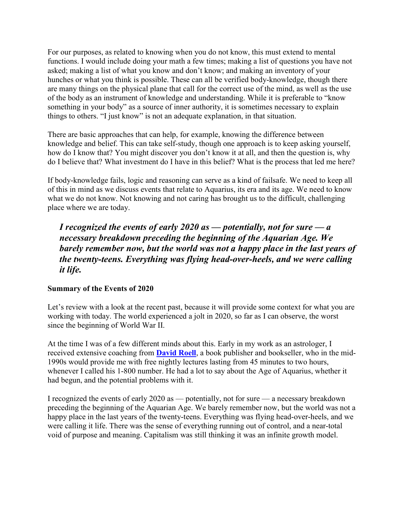For our purposes, as related to knowing when you do not know, this must extend to mental functions. I would include doing your math a few times; making a list of questions you have not asked; making a list of what you know and don't know; and making an inventory of your hunches or what you think is possible. These can all be verified body-knowledge, though there are many things on the physical plane that call for the correct use of the mind, as well as the use of the body as an instrument of knowledge and understanding. While it is preferable to "know something in your body" as a source of inner authority, it is sometimes necessary to explain things to others. "I just know" is not an adequate explanation, in that situation.

There are basic approaches that can help, for example, knowing the difference between knowledge and belief. This can take self-study, though one approach is to keep asking yourself, how do I know that? You might discover you don't know it at all, and then the question is, why do I believe that? What investment do I have in this belief? What is the process that led me here?

If body-knowledge fails, logic and reasoning can serve as a kind of failsafe. We need to keep all of this in mind as we discuss events that relate to Aquarius, its era and its age. We need to know what we do not know. Not knowing and not caring has brought us to the difficult, challenging place where we are today.

I recognized the events of early 2020 as  $-$  potentially, not for sure  $-a$ necessary breakdown preceding the beginning of the Aquarian Age. We barely remember now, but the world was not a happy place in the last years of the twenty-teens. Everything was flying head-over-heels, and we were calling it life.

#### Summary of the Events of 2020

Let's review with a look at the recent past, because it will provide some context for what you are working with today. The world experienced a jolt in 2020, so far as I can observe, the worst since the beginning of World War II.

At the time I was of a few different minds about this. Early in my work as an astrologer, I received extensive coaching from **David Roell**, a book publisher and bookseller, who in the mid-1990s would provide me with free nightly lectures lasting from 45 minutes to two hours, whenever I called his 1-800 number. He had a lot to say about the Age of Aquarius, whether it had begun, and the potential problems with it.

I recognized the events of early 2020 as — potentially, not for sure — a necessary breakdown preceding the beginning of the Aquarian Age. We barely remember now, but the world was not a happy place in the last years of the twenty-teens. Everything was flying head-over-heels, and we were calling it life. There was the sense of everything running out of control, and a near-total void of purpose and meaning. Capitalism was still thinking it was an infinite growth model.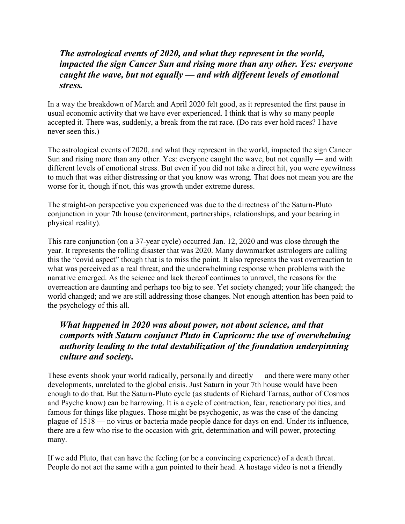#### The astrological events of 2020, and what they represent in the world, impacted the sign Cancer Sun and rising more than any other. Yes: everyone caught the wave, but not equally — and with different levels of emotional stress.

In a way the breakdown of March and April 2020 felt good, as it represented the first pause in usual economic activity that we have ever experienced. I think that is why so many people accepted it. There was, suddenly, a break from the rat race. (Do rats ever hold races? I have never seen this.)

The astrological events of 2020, and what they represent in the world, impacted the sign Cancer Sun and rising more than any other. Yes: everyone caught the wave, but not equally — and with different levels of emotional stress. But even if you did not take a direct hit, you were eyewitness to much that was either distressing or that you know was wrong. That does not mean you are the worse for it, though if not, this was growth under extreme duress.

The straight-on perspective you experienced was due to the directness of the Saturn-Pluto conjunction in your 7th house (environment, partnerships, relationships, and your bearing in physical reality).

This rare conjunction (on a 37-year cycle) occurred Jan. 12, 2020 and was close through the year. It represents the rolling disaster that was 2020. Many downmarket astrologers are calling this the "covid aspect" though that is to miss the point. It also represents the vast overreaction to what was perceived as a real threat, and the underwhelming response when problems with the narrative emerged. As the science and lack thereof continues to unravel, the reasons for the overreaction are daunting and perhaps too big to see. Yet society changed; your life changed; the world changed; and we are still addressing those changes. Not enough attention has been paid to the psychology of this all.

## What happened in 2020 was about power, not about science, and that comports with Saturn conjunct Pluto in Capricorn: the use of overwhelming authority leading to the total destabilization of the foundation underpinning culture and society.

These events shook your world radically, personally and directly — and there were many other developments, unrelated to the global crisis. Just Saturn in your 7th house would have been enough to do that. But the Saturn-Pluto cycle (as students of Richard Tarnas, author of Cosmos and Psyche know) can be harrowing. It is a cycle of contraction, fear, reactionary politics, and famous for things like plagues. Those might be psychogenic, as was the case of the dancing plague of 1518 — no virus or bacteria made people dance for days on end. Under its influence, there are a few who rise to the occasion with grit, determination and will power, protecting many.

If we add Pluto, that can have the feeling (or be a convincing experience) of a death threat. People do not act the same with a gun pointed to their head. A hostage video is not a friendly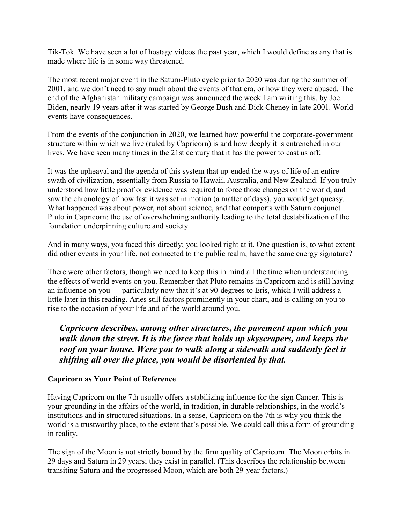Tik-Tok. We have seen a lot of hostage videos the past year, which I would define as any that is made where life is in some way threatened.

The most recent major event in the Saturn-Pluto cycle prior to 2020 was during the summer of 2001, and we don't need to say much about the events of that era, or how they were abused. The end of the Afghanistan military campaign was announced the week I am writing this, by Joe Biden, nearly 19 years after it was started by George Bush and Dick Cheney in late 2001. World events have consequences.

From the events of the conjunction in 2020, we learned how powerful the corporate-government structure within which we live (ruled by Capricorn) is and how deeply it is entrenched in our lives. We have seen many times in the 21st century that it has the power to cast us off.

It was the upheaval and the agenda of this system that up-ended the ways of life of an entire swath of civilization, essentially from Russia to Hawaii, Australia, and New Zealand. If you truly understood how little proof or evidence was required to force those changes on the world, and saw the chronology of how fast it was set in motion (a matter of days), you would get queasy. What happened was about power, not about science, and that comports with Saturn conjunct Pluto in Capricorn: the use of overwhelming authority leading to the total destabilization of the foundation underpinning culture and society.

And in many ways, you faced this directly; you looked right at it. One question is, to what extent did other events in your life, not connected to the public realm, have the same energy signature?

There were other factors, though we need to keep this in mind all the time when understanding the effects of world events on you. Remember that Pluto remains in Capricorn and is still having an influence on you — particularly now that it's at 90-degrees to Eris, which I will address a little later in this reading. Aries still factors prominently in your chart, and is calling on you to rise to the occasion of your life and of the world around you.

Capricorn describes, among other structures, the pavement upon which you walk down the street. It is the force that holds up skyscrapers, and keeps the roof on your house. Were you to walk along a sidewalk and suddenly feel it shifting all over the place, you would be disoriented by that.

#### Capricorn as Your Point of Reference

Having Capricorn on the 7th usually offers a stabilizing influence for the sign Cancer. This is your grounding in the affairs of the world, in tradition, in durable relationships, in the world's institutions and in structured situations. In a sense, Capricorn on the 7th is why you think the world is a trustworthy place, to the extent that's possible. We could call this a form of grounding in reality.

The sign of the Moon is not strictly bound by the firm quality of Capricorn. The Moon orbits in 29 days and Saturn in 29 years; they exist in parallel. (This describes the relationship between transiting Saturn and the progressed Moon, which are both 29-year factors.)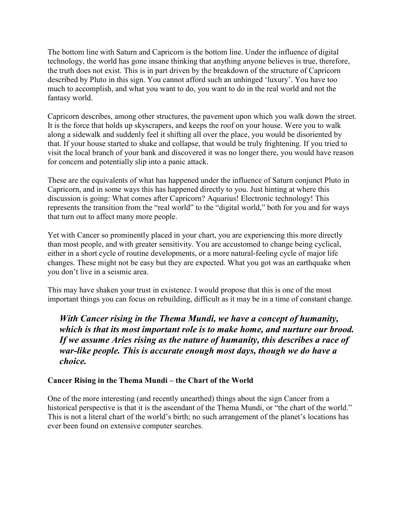The bottom line with Saturn and Capricorn is the bottom line. Under the influence of digital technology, the world has gone insane thinking that anything anyone believes is true, therefore, the truth does not exist. This is in part driven by the breakdown of the structure of Capricorn described by Pluto in this sign. You cannot afford such an unhinged 'luxury'. You have too much to accomplish, and what you want to do, you want to do in the real world and not the fantasy world.

Capricorn describes, among other structures, the pavement upon which you walk down the street. It is the force that holds up skyscrapers, and keeps the roof on your house. Were you to walk along a sidewalk and suddenly feel it shifting all over the place, you would be disoriented by that. If your house started to shake and collapse, that would be truly frightening. If you tried to visit the local branch of your bank and discovered it was no longer there, you would have reason for concern and potentially slip into a panic attack.

These are the equivalents of what has happened under the influence of Saturn conjunct Pluto in Capricorn, and in some ways this has happened directly to you. Just hinting at where this discussion is going: What comes after Capricorn? Aquarius! Electronic technology! This represents the transition from the "real world" to the "digital world," both for you and for ways that turn out to affect many more people.

Yet with Cancer so prominently placed in your chart, you are experiencing this more directly than most people, and with greater sensitivity. You are accustomed to change being cyclical, either in a short cycle of routine developments, or a more natural-feeling cycle of major life changes. These might not be easy but they are expected. What you got was an earthquake when you don't live in a seismic area.

This may have shaken your trust in existence. I would propose that this is one of the most important things you can focus on rebuilding, difficult as it may be in a time of constant change.

With Cancer rising in the Thema Mundi, we have a concept of humanity, which is that its most important role is to make home, and nurture our brood. If we assume Aries rising as the nature of humanity, this describes a race of war-like people. This is accurate enough most days, though we do have a choice.

#### Cancer Rising in the Thema Mundi – the Chart of the World

One of the more interesting (and recently unearthed) things about the sign Cancer from a historical perspective is that it is the ascendant of the Thema Mundi, or "the chart of the world." This is not a literal chart of the world's birth; no such arrangement of the planet's locations has ever been found on extensive computer searches.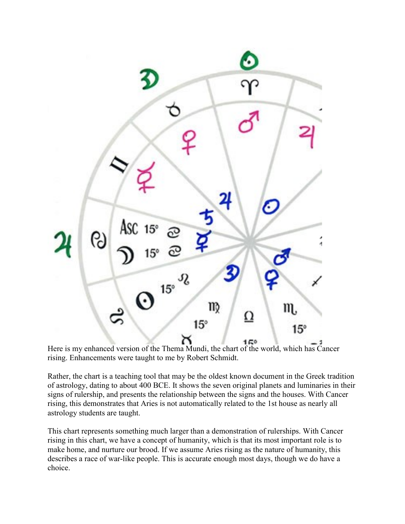

Here is my enhanced version of the Thema Mundi, the chart of the world, which has Cancer rising. Enhancements were taught to me by Robert Schmidt.

Rather, the chart is a teaching tool that may be the oldest known document in the Greek tradition of astrology, dating to about 400 BCE. It shows the seven original planets and luminaries in their signs of rulership, and presents the relationship between the signs and the houses. With Cancer rising, this demonstrates that Aries is not automatically related to the 1st house as nearly all astrology students are taught.

This chart represents something much larger than a demonstration of rulerships. With Cancer rising in this chart, we have a concept of humanity, which is that its most important role is to make home, and nurture our brood. If we assume Aries rising as the nature of humanity, this describes a race of war-like people. This is accurate enough most days, though we do have a choice.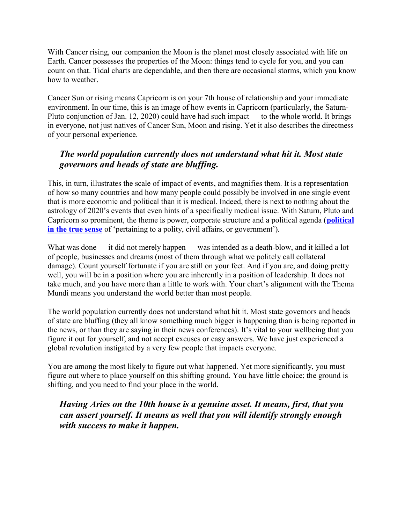With Cancer rising, our companion the Moon is the planet most closely associated with life on Earth. Cancer possesses the properties of the Moon: things tend to cycle for you, and you can count on that. Tidal charts are dependable, and then there are occasional storms, which you know how to weather.

Cancer Sun or rising means Capricorn is on your 7th house of relationship and your immediate environment. In our time, this is an image of how events in Capricorn (particularly, the Saturn-Pluto conjunction of Jan. 12, 2020) could have had such impact — to the whole world. It brings in everyone, not just natives of Cancer Sun, Moon and rising. Yet it also describes the directness of your personal experience.

## The world population currently does not understand what hit it. Most state governors and heads of state are bluffing.

This, in turn, illustrates the scale of impact of events, and magnifies them. It is a representation of how so many countries and how many people could possibly be involved in one single event that is more economic and political than it is medical. Indeed, there is next to nothing about the astrology of 2020's events that even hints of a specifically medical issue. With Saturn, Pluto and Capricorn so prominent, the theme is power, corporate structure and a political agenda (political in the true sense of 'pertaining to a polity, civil affairs, or government').

What was done — it did not merely happen — was intended as a death-blow, and it killed a lot of people, businesses and dreams (most of them through what we politely call collateral damage). Count yourself fortunate if you are still on your feet. And if you are, and doing pretty well, you will be in a position where you are inherently in a position of leadership. It does not take much, and you have more than a little to work with. Your chart's alignment with the Thema Mundi means you understand the world better than most people.

The world population currently does not understand what hit it. Most state governors and heads of state are bluffing (they all know something much bigger is happening than is being reported in the news, or than they are saying in their news conferences). It's vital to your wellbeing that you figure it out for yourself, and not accept excuses or easy answers. We have just experienced a global revolution instigated by a very few people that impacts everyone.

You are among the most likely to figure out what happened. Yet more significantly, you must figure out where to place yourself on this shifting ground. You have little choice; the ground is shifting, and you need to find your place in the world.

Having Aries on the 10th house is a genuine asset. It means, first, that you can assert yourself. It means as well that you will identify strongly enough with success to make it happen.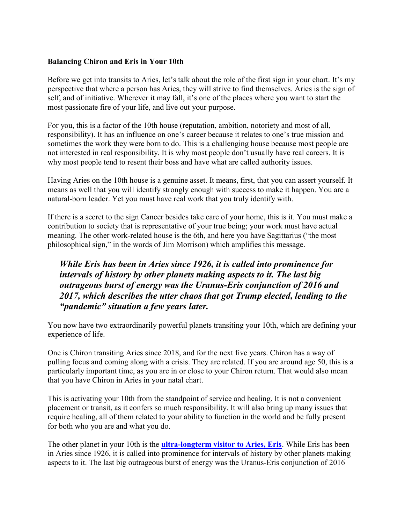#### Balancing Chiron and Eris in Your 10th

Before we get into transits to Aries, let's talk about the role of the first sign in your chart. It's my perspective that where a person has Aries, they will strive to find themselves. Aries is the sign of self, and of initiative. Wherever it may fall, it's one of the places where you want to start the most passionate fire of your life, and live out your purpose.

For you, this is a factor of the 10th house (reputation, ambition, notoriety and most of all, responsibility). It has an influence on one's career because it relates to one's true mission and sometimes the work they were born to do. This is a challenging house because most people are not interested in real responsibility. It is why most people don't usually have real careers. It is why most people tend to resent their boss and have what are called authority issues.

Having Aries on the 10th house is a genuine asset. It means, first, that you can assert yourself. It means as well that you will identify strongly enough with success to make it happen. You are a natural-born leader. Yet you must have real work that you truly identify with.

If there is a secret to the sign Cancer besides take care of your home, this is it. You must make a contribution to society that is representative of your true being; your work must have actual meaning. The other work-related house is the 6th, and here you have Sagittarius ("the most philosophical sign," in the words of Jim Morrison) which amplifies this message.

## While Eris has been in Aries since 1926, it is called into prominence for intervals of history by other planets making aspects to it. The last big outrageous burst of energy was the Uranus-Eris conjunction of 2016 and 2017, which describes the utter chaos that got Trump elected, leading to the "pandemic" situation a few years later.

You now have two extraordinarily powerful planets transiting your 10th, which are defining your experience of life.

One is Chiron transiting Aries since 2018, and for the next five years. Chiron has a way of pulling focus and coming along with a crisis. They are related. If you are around age 50, this is a particularly important time, as you are in or close to your Chiron return. That would also mean that you have Chiron in Aries in your natal chart.

This is activating your 10th from the standpoint of service and healing. It is not a convenient placement or transit, as it confers so much responsibility. It will also bring up many issues that require healing, all of them related to your ability to function in the world and be fully present for both who you are and what you do.

The other planet in your 10th is the **ultra-longterm visitor to Aries, Eris**. While Eris has been in Aries since 1926, it is called into prominence for intervals of history by other planets making aspects to it. The last big outrageous burst of energy was the Uranus-Eris conjunction of 2016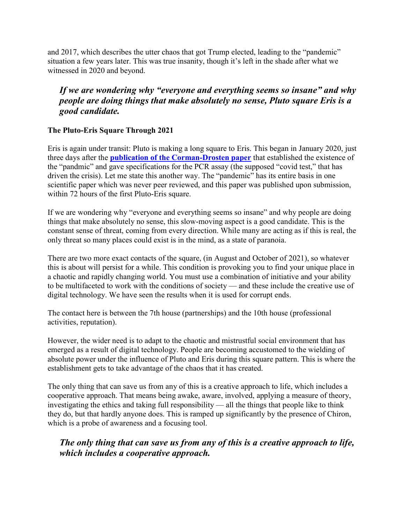and 2017, which describes the utter chaos that got Trump elected, leading to the "pandemic" situation a few years later. This was true insanity, though it's left in the shade after what we witnessed in 2020 and beyond.

## If we are wondering why "everyone and everything seems so insane" and why people are doing things that make absolutely no sense, Pluto square Eris is a good candidate.

#### The Pluto-Eris Square Through 2021

Eris is again under transit: Pluto is making a long square to Eris. This began in January 2020, just three days after the **publication of the Corman-Drosten paper** that established the existence of the "pandmic" and gave specifications for the PCR assay (the supposed "covid test," that has driven the crisis). Let me state this another way. The "pandemic" has its entire basis in one scientific paper which was never peer reviewed, and this paper was published upon submission, within 72 hours of the first Pluto-Eris square.

If we are wondering why "everyone and everything seems so insane" and why people are doing things that make absolutely no sense, this slow-moving aspect is a good candidate. This is the constant sense of threat, coming from every direction. While many are acting as if this is real, the only threat so many places could exist is in the mind, as a state of paranoia.

There are two more exact contacts of the square, (in August and October of 2021), so whatever this is about will persist for a while. This condition is provoking you to find your unique place in a chaotic and rapidly changing world. You must use a combination of initiative and your ability to be multifaceted to work with the conditions of society — and these include the creative use of digital technology. We have seen the results when it is used for corrupt ends.

The contact here is between the 7th house (partnerships) and the 10th house (professional activities, reputation).

However, the wider need is to adapt to the chaotic and mistrustful social environment that has emerged as a result of digital technology. People are becoming accustomed to the wielding of absolute power under the influence of Pluto and Eris during this square pattern. This is where the establishment gets to take advantage of the chaos that it has created.

The only thing that can save us from any of this is a creative approach to life, which includes a cooperative approach. That means being awake, aware, involved, applying a measure of theory, investigating the ethics and taking full responsibility — all the things that people like to think they do, but that hardly anyone does. This is ramped up significantly by the presence of Chiron, which is a probe of awareness and a focusing tool.

#### The only thing that can save us from any of this is a creative approach to life, which includes a cooperative approach.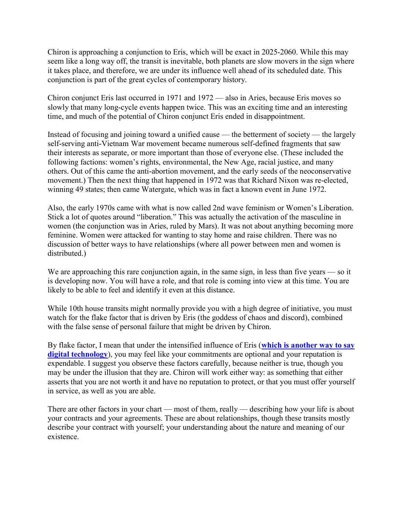Chiron is approaching a conjunction to Eris, which will be exact in 2025-2060. While this may seem like a long way off, the transit is inevitable, both planets are slow movers in the sign where it takes place, and therefore, we are under its influence well ahead of its scheduled date. This conjunction is part of the great cycles of contemporary history.

Chiron conjunct Eris last occurred in 1971 and 1972 — also in Aries, because Eris moves so slowly that many long-cycle events happen twice. This was an exciting time and an interesting time, and much of the potential of Chiron conjunct Eris ended in disappointment.

Instead of focusing and joining toward a unified cause — the betterment of society — the largely self-serving anti-Vietnam War movement became numerous self-defined fragments that saw their interests as separate, or more important than those of everyone else. (These included the following factions: women's rights, environmental, the New Age, racial justice, and many others. Out of this came the anti-abortion movement, and the early seeds of the neoconservative movement.) Then the next thing that happened in 1972 was that Richard Nixon was re-elected, winning 49 states; then came Watergate, which was in fact a known event in June 1972.

Also, the early 1970s came with what is now called 2nd wave feminism or Women's Liberation. Stick a lot of quotes around "liberation." This was actually the activation of the masculine in women (the conjunction was in Aries, ruled by Mars). It was not about anything becoming more feminine. Women were attacked for wanting to stay home and raise children. There was no discussion of better ways to have relationships (where all power between men and women is distributed.)

We are approaching this rare conjunction again, in the same sign, in less than five years — so it is developing now. You will have a role, and that role is coming into view at this time. You are likely to be able to feel and identify it even at this distance.

While 10th house transits might normally provide you with a high degree of initiative, you must watch for the flake factor that is driven by Eris (the goddess of chaos and discord), combined with the false sense of personal failure that might be driven by Chiron.

By flake factor, I mean that under the intensified influence of Eris (which is another way to say digital technology), you may feel like your commitments are optional and your reputation is expendable. I suggest you observe these factors carefully, because neither is true, though you may be under the illusion that they are. Chiron will work either way: as something that either asserts that you are not worth it and have no reputation to protect, or that you must offer yourself in service, as well as you are able.

There are other factors in your chart — most of them, really — describing how your life is about your contracts and your agreements. These are about relationships, though these transits mostly describe your contract with yourself; your understanding about the nature and meaning of our existence.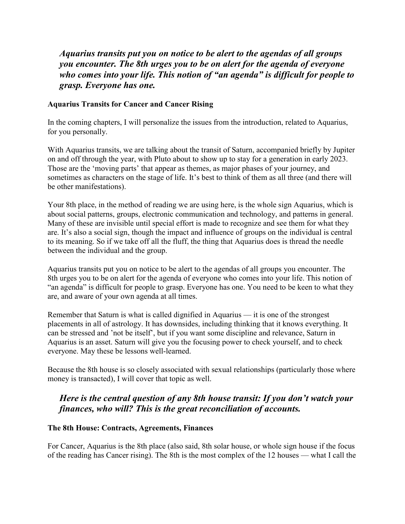Aquarius transits put you on notice to be alert to the agendas of all groups you encounter. The 8th urges you to be on alert for the agenda of everyone who comes into your life. This notion of "an agenda" is difficult for people to grasp. Everyone has one.

#### Aquarius Transits for Cancer and Cancer Rising

In the coming chapters, I will personalize the issues from the introduction, related to Aquarius, for you personally.

With Aquarius transits, we are talking about the transit of Saturn, accompanied briefly by Jupiter on and off through the year, with Pluto about to show up to stay for a generation in early 2023. Those are the 'moving parts' that appear as themes, as major phases of your journey, and sometimes as characters on the stage of life. It's best to think of them as all three (and there will be other manifestations).

Your 8th place, in the method of reading we are using here, is the whole sign Aquarius, which is about social patterns, groups, electronic communication and technology, and patterns in general. Many of these are invisible until special effort is made to recognize and see them for what they are. It's also a social sign, though the impact and influence of groups on the individual is central to its meaning. So if we take off all the fluff, the thing that Aquarius does is thread the needle between the individual and the group.

Aquarius transits put you on notice to be alert to the agendas of all groups you encounter. The 8th urges you to be on alert for the agenda of everyone who comes into your life. This notion of "an agenda" is difficult for people to grasp. Everyone has one. You need to be keen to what they are, and aware of your own agenda at all times.

Remember that Saturn is what is called dignified in Aquarius — it is one of the strongest placements in all of astrology. It has downsides, including thinking that it knows everything. It can be stressed and 'not be itself', but if you want some discipline and relevance, Saturn in Aquarius is an asset. Saturn will give you the focusing power to check yourself, and to check everyone. May these be lessons well-learned.

Because the 8th house is so closely associated with sexual relationships (particularly those where money is transacted), I will cover that topic as well.

#### Here is the central question of any 8th house transit: If you don't watch your finances, who will? This is the great reconciliation of accounts.

#### The 8th House: Contracts, Agreements, Finances

For Cancer, Aquarius is the 8th place (also said, 8th solar house, or whole sign house if the focus of the reading has Cancer rising). The 8th is the most complex of the 12 houses — what I call the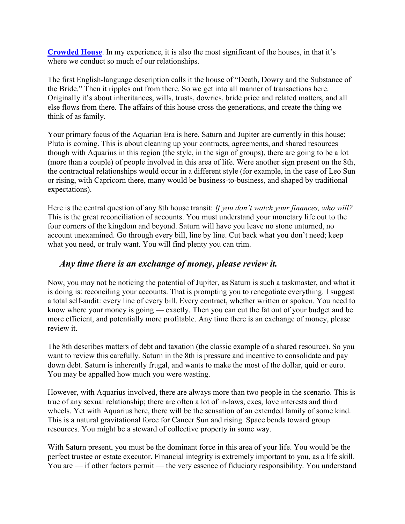Crowded House. In my experience, it is also the most significant of the houses, in that it's where we conduct so much of our relationships.

The first English-language description calls it the house of "Death, Dowry and the Substance of the Bride." Then it ripples out from there. So we get into all manner of transactions here. Originally it's about inheritances, wills, trusts, dowries, bride price and related matters, and all else flows from there. The affairs of this house cross the generations, and create the thing we think of as family.

Your primary focus of the Aquarian Era is here. Saturn and Jupiter are currently in this house; Pluto is coming. This is about cleaning up your contracts, agreements, and shared resources though with Aquarius in this region (the style, in the sign of groups), there are going to be a lot (more than a couple) of people involved in this area of life. Were another sign present on the 8th, the contractual relationships would occur in a different style (for example, in the case of Leo Sun or rising, with Capricorn there, many would be business-to-business, and shaped by traditional expectations).

Here is the central question of any 8th house transit: If you don't watch your finances, who will? This is the great reconciliation of accounts. You must understand your monetary life out to the four corners of the kingdom and beyond. Saturn will have you leave no stone unturned, no account unexamined. Go through every bill, line by line. Cut back what you don't need; keep what you need, or truly want. You will find plenty you can trim.

#### Any time there is an exchange of money, please review it.

Now, you may not be noticing the potential of Jupiter, as Saturn is such a taskmaster, and what it is doing is: reconciling your accounts. That is prompting you to renegotiate everything. I suggest a total self-audit: every line of every bill. Every contract, whether written or spoken. You need to know where your money is going — exactly. Then you can cut the fat out of your budget and be more efficient, and potentially more profitable. Any time there is an exchange of money, please review it.

The 8th describes matters of debt and taxation (the classic example of a shared resource). So you want to review this carefully. Saturn in the 8th is pressure and incentive to consolidate and pay down debt. Saturn is inherently frugal, and wants to make the most of the dollar, quid or euro. You may be appalled how much you were wasting.

However, with Aquarius involved, there are always more than two people in the scenario. This is true of any sexual relationship; there are often a lot of in-laws, exes, love interests and third wheels. Yet with Aquarius here, there will be the sensation of an extended family of some kind. This is a natural gravitational force for Cancer Sun and rising. Space bends toward group resources. You might be a steward of collective property in some way.

With Saturn present, you must be the dominant force in this area of your life. You would be the perfect trustee or estate executor. Financial integrity is extremely important to you, as a life skill. You are — if other factors permit — the very essence of fiduciary responsibility. You understand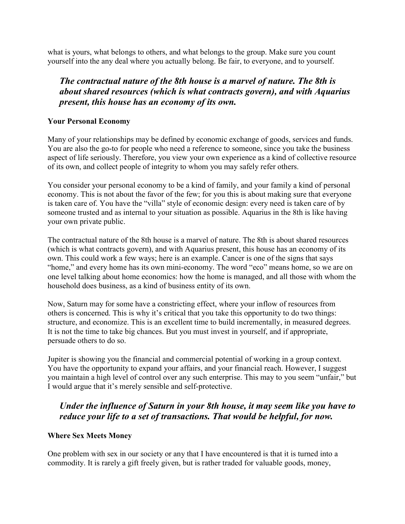what is yours, what belongs to others, and what belongs to the group. Make sure you count yourself into the any deal where you actually belong. Be fair, to everyone, and to yourself.

## The contractual nature of the 8th house is a marvel of nature. The 8th is about shared resources (which is what contracts govern), and with Aquarius present, this house has an economy of its own.

#### Your Personal Economy

Many of your relationships may be defined by economic exchange of goods, services and funds. You are also the go-to for people who need a reference to someone, since you take the business aspect of life seriously. Therefore, you view your own experience as a kind of collective resource of its own, and collect people of integrity to whom you may safely refer others.

You consider your personal economy to be a kind of family, and your family a kind of personal economy. This is not about the favor of the few; for you this is about making sure that everyone is taken care of. You have the "villa" style of economic design: every need is taken care of by someone trusted and as internal to your situation as possible. Aquarius in the 8th is like having your own private public.

The contractual nature of the 8th house is a marvel of nature. The 8th is about shared resources (which is what contracts govern), and with Aquarius present, this house has an economy of its own. This could work a few ways; here is an example. Cancer is one of the signs that says "home," and every home has its own mini-economy. The word "eco" means home, so we are on one level talking about home economics: how the home is managed, and all those with whom the household does business, as a kind of business entity of its own.

Now, Saturn may for some have a constricting effect, where your inflow of resources from others is concerned. This is why it's critical that you take this opportunity to do two things: structure, and economize. This is an excellent time to build incrementally, in measured degrees. It is not the time to take big chances. But you must invest in yourself, and if appropriate, persuade others to do so.

Jupiter is showing you the financial and commercial potential of working in a group context. You have the opportunity to expand your affairs, and your financial reach. However, I suggest you maintain a high level of control over any such enterprise. This may to you seem "unfair," but I would argue that it's merely sensible and self-protective.

## Under the influence of Saturn in your 8th house, it may seem like you have to reduce your life to a set of transactions. That would be helpful, for now.

#### Where Sex Meets Money

One problem with sex in our society or any that I have encountered is that it is turned into a commodity. It is rarely a gift freely given, but is rather traded for valuable goods, money,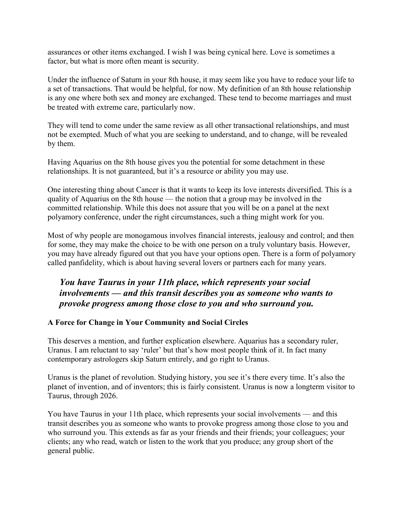assurances or other items exchanged. I wish I was being cynical here. Love is sometimes a factor, but what is more often meant is security.

Under the influence of Saturn in your 8th house, it may seem like you have to reduce your life to a set of transactions. That would be helpful, for now. My definition of an 8th house relationship is any one where both sex and money are exchanged. These tend to become marriages and must be treated with extreme care, particularly now.

They will tend to come under the same review as all other transactional relationships, and must not be exempted. Much of what you are seeking to understand, and to change, will be revealed by them.

Having Aquarius on the 8th house gives you the potential for some detachment in these relationships. It is not guaranteed, but it's a resource or ability you may use.

One interesting thing about Cancer is that it wants to keep its love interests diversified. This is a quality of Aquarius on the 8th house — the notion that a group may be involved in the committed relationship. While this does not assure that you will be on a panel at the next polyamory conference, under the right circumstances, such a thing might work for you.

Most of why people are monogamous involves financial interests, jealousy and control; and then for some, they may make the choice to be with one person on a truly voluntary basis. However, you may have already figured out that you have your options open. There is a form of polyamory called panfidelity, which is about having several lovers or partners each for many years.

## You have Taurus in your 11th place, which represents your social involvements — and this transit describes you as someone who wants to provoke progress among those close to you and who surround you.

#### A Force for Change in Your Community and Social Circles

This deserves a mention, and further explication elsewhere. Aquarius has a secondary ruler, Uranus. I am reluctant to say 'ruler' but that's how most people think of it. In fact many contemporary astrologers skip Saturn entirely, and go right to Uranus.

Uranus is the planet of revolution. Studying history, you see it's there every time. It's also the planet of invention, and of inventors; this is fairly consistent. Uranus is now a longterm visitor to Taurus, through 2026.

You have Taurus in your 11th place, which represents your social involvements — and this transit describes you as someone who wants to provoke progress among those close to you and who surround you. This extends as far as your friends and their friends; your colleagues; your clients; any who read, watch or listen to the work that you produce; any group short of the general public.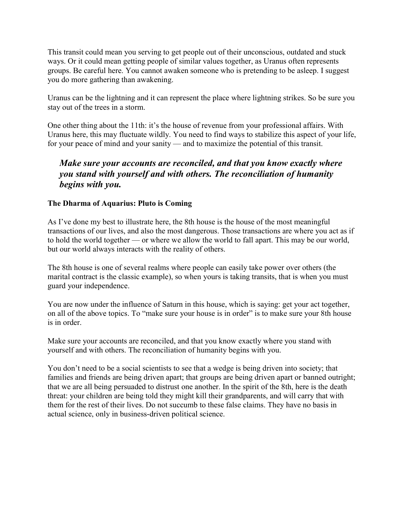This transit could mean you serving to get people out of their unconscious, outdated and stuck ways. Or it could mean getting people of similar values together, as Uranus often represents groups. Be careful here. You cannot awaken someone who is pretending to be asleep. I suggest you do more gathering than awakening.

Uranus can be the lightning and it can represent the place where lightning strikes. So be sure you stay out of the trees in a storm.

One other thing about the 11th: it's the house of revenue from your professional affairs. With Uranus here, this may fluctuate wildly. You need to find ways to stabilize this aspect of your life, for your peace of mind and your sanity — and to maximize the potential of this transit.

#### Make sure your accounts are reconciled, and that you know exactly where you stand with yourself and with others. The reconciliation of humanity begins with you.

#### The Dharma of Aquarius: Pluto is Coming

As I've done my best to illustrate here, the 8th house is the house of the most meaningful transactions of our lives, and also the most dangerous. Those transactions are where you act as if to hold the world together — or where we allow the world to fall apart. This may be our world, but our world always interacts with the reality of others.

The 8th house is one of several realms where people can easily take power over others (the marital contract is the classic example), so when yours is taking transits, that is when you must guard your independence.

You are now under the influence of Saturn in this house, which is saying: get your act together, on all of the above topics. To "make sure your house is in order" is to make sure your 8th house is in order.

Make sure your accounts are reconciled, and that you know exactly where you stand with yourself and with others. The reconciliation of humanity begins with you.

You don't need to be a social scientists to see that a wedge is being driven into society; that families and friends are being driven apart; that groups are being driven apart or banned outright; that we are all being persuaded to distrust one another. In the spirit of the 8th, here is the death threat: your children are being told they might kill their grandparents, and will carry that with them for the rest of their lives. Do not succumb to these false claims. They have no basis in actual science, only in business-driven political science.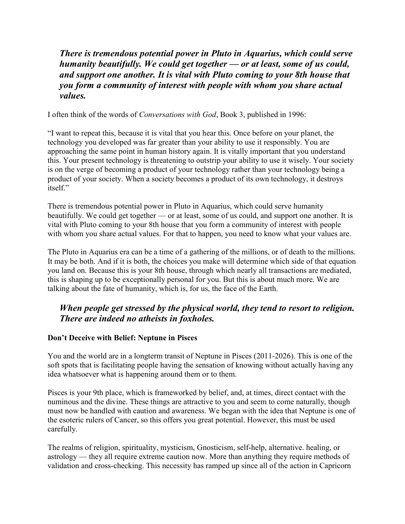There is tremendous potential power in Pluto in Aquarius, which could serve humanity beautifully. We could get together — or at least, some of us could, and support one another. It is vital with Pluto coming to your 8th house that you form a community of interest with people with whom you share actual values.

I often think of the words of Conversations with God, Book 3, published in 1996:

"I want to repeat this, because it is vital that you hear this. Once before on your planet, the technology you developed was far greater than your ability to use it responsibly. You are approaching the same point in human history again. It is vitally important that you understand this. Your present technology is threatening to outstrip your ability to use it wisely. Your society is on the verge of becoming a product of your technology rather than your technology being a product of your society. When a society becomes a product of its own technology, it destroys itself."

There is tremendous potential power in Pluto in Aquarius, which could serve humanity beautifully. We could get together — or at least, some of us could, and support one another. It is vital with Pluto coming to your 8th house that you form a community of interest with people with whom you share actual values. For that to happen, you need to know what your values are.

The Pluto in Aquarius era can be a time of a gathering of the millions, or of death to the millions. It may be both. And if it is both, the choices you make will determine which side of that equation you land on. Because this is your 8th house, through which nearly all transactions are mediated, this is shaping up to be exceptionally personal for you. But this is about much more. We are talking about the fate of humanity, which is, for us, the face of the Earth.

## When people get stressed by the physical world, they tend to resort to religion. There are indeed no atheists in foxholes.

#### Don't Deceive with Belief: Neptune in Pisces

You and the world are in a longterm transit of Neptune in Pisces (2011-2026). This is one of the soft spots that is facilitating people having the sensation of knowing without actually having any idea whatsoever what is happening around them or to them.

Pisces is your 9th place, which is frameworked by belief, and, at times, direct contact with the numinous and the divine. These things are attractive to you and seem to come naturally, though must now be handled with caution and awareness. We began with the idea that Neptune is one of the esoteric rulers of Cancer, so this offers you great potential. However, this must be used carefully.

The realms of religion, spirituality, mysticism, Gnosticism, self-help, alternative. healing, or astrology — they all require extreme caution now. More than anything they require methods of validation and cross-checking. This necessity has ramped up since all of the action in Capricorn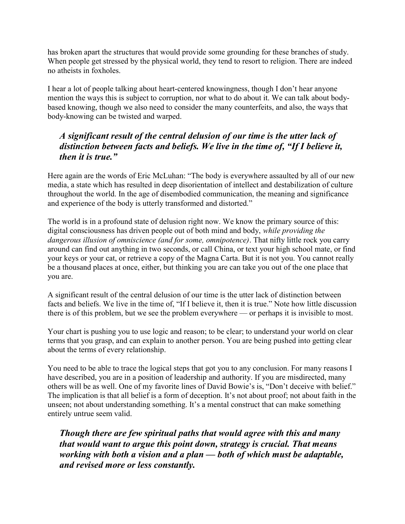has broken apart the structures that would provide some grounding for these branches of study. When people get stressed by the physical world, they tend to resort to religion. There are indeed no atheists in foxholes.

I hear a lot of people talking about heart-centered knowingness, though I don't hear anyone mention the ways this is subject to corruption, nor what to do about it. We can talk about bodybased knowing, though we also need to consider the many counterfeits, and also, the ways that body-knowing can be twisted and warped.

#### A significant result of the central delusion of our time is the utter lack of distinction between facts and beliefs. We live in the time of, "If I believe it, then it is true."

Here again are the words of Eric McLuhan: "The body is everywhere assaulted by all of our new media, a state which has resulted in deep disorientation of intellect and destabilization of culture throughout the world. In the age of disembodied communication, the meaning and significance and experience of the body is utterly transformed and distorted."

The world is in a profound state of delusion right now. We know the primary source of this: digital consciousness has driven people out of both mind and body, while providing the dangerous illusion of omniscience (and for some, omnipotence). That nifty little rock you carry around can find out anything in two seconds, or call China, or text your high school mate, or find your keys or your cat, or retrieve a copy of the Magna Carta. But it is not you. You cannot really be a thousand places at once, either, but thinking you are can take you out of the one place that you are.

A significant result of the central delusion of our time is the utter lack of distinction between facts and beliefs. We live in the time of, "If I believe it, then it is true." Note how little discussion there is of this problem, but we see the problem everywhere — or perhaps it is invisible to most.

Your chart is pushing you to use logic and reason; to be clear; to understand your world on clear terms that you grasp, and can explain to another person. You are being pushed into getting clear about the terms of every relationship.

You need to be able to trace the logical steps that got you to any conclusion. For many reasons I have described, you are in a position of leadership and authority. If you are misdirected, many others will be as well. One of my favorite lines of David Bowie's is, "Don't deceive with belief." The implication is that all belief is a form of deception. It's not about proof; not about faith in the unseen; not about understanding something. It's a mental construct that can make something entirely untrue seem valid.

Though there are few spiritual paths that would agree with this and many that would want to argue this point down, strategy is crucial. That means working with both a vision and a plan — both of which must be adaptable, and revised more or less constantly.